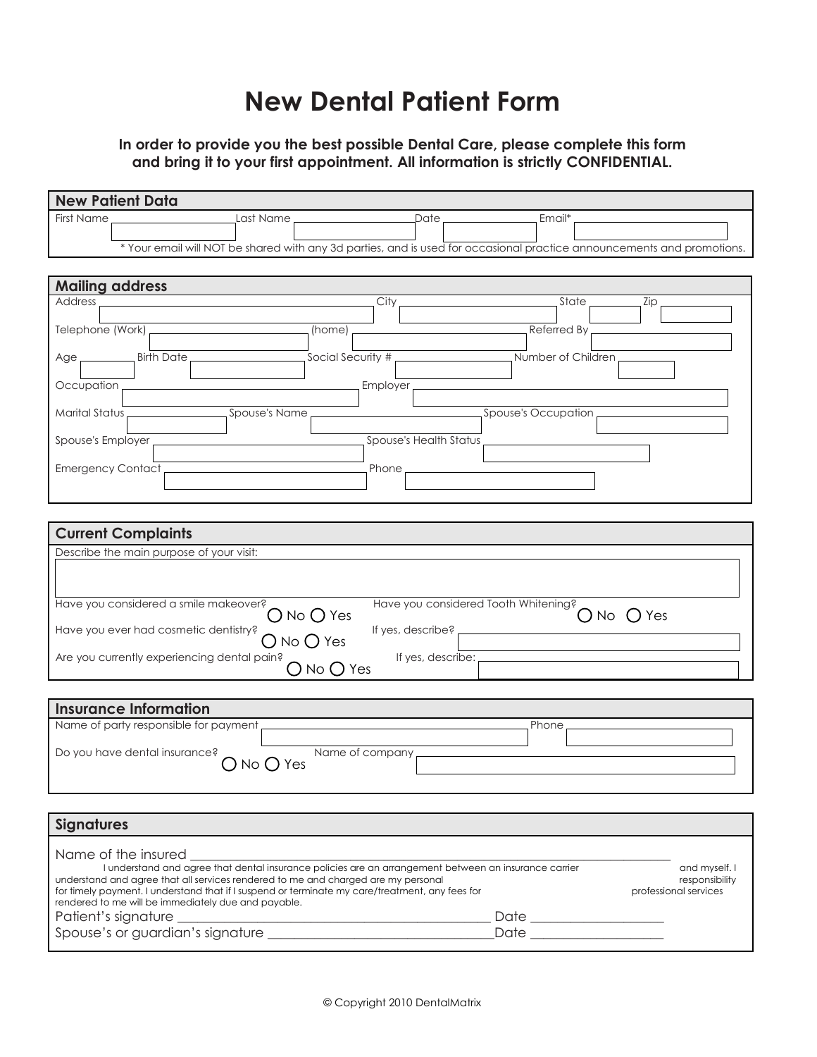## **New Dental Patient Form**

**In order to provide you the best possible Dental Care, please complete this form and bring it to your first appointment. All information is strictly CONFIDENTIAL.**

| <b>New Patient Data</b>                                                |                                                                                                                                                                                            |                         |                                                                                                                                                                                                                                |                                 |
|------------------------------------------------------------------------|--------------------------------------------------------------------------------------------------------------------------------------------------------------------------------------------|-------------------------|--------------------------------------------------------------------------------------------------------------------------------------------------------------------------------------------------------------------------------|---------------------------------|
| <b>First Name</b>                                                      | Last Name,                                                                                                                                                                                 | _Date _                 | Email*                                                                                                                                                                                                                         |                                 |
|                                                                        | * Your email will NOT be shared with any 3d parties, and is used for occasional practice announcements and promotions.                                                                     |                         |                                                                                                                                                                                                                                |                                 |
|                                                                        |                                                                                                                                                                                            |                         |                                                                                                                                                                                                                                |                                 |
| <b>Mailing address</b>                                                 |                                                                                                                                                                                            |                         |                                                                                                                                                                                                                                |                                 |
| Address.                                                               |                                                                                                                                                                                            | City                    | State                                                                                                                                                                                                                          | Zip                             |
|                                                                        |                                                                                                                                                                                            |                         |                                                                                                                                                                                                                                |                                 |
|                                                                        |                                                                                                                                                                                            |                         |                                                                                                                                                                                                                                |                                 |
| Age <sub>r</sub>                                                       |                                                                                                                                                                                            |                         |                                                                                                                                                                                                                                |                                 |
| Occupation                                                             |                                                                                                                                                                                            | Employer.               |                                                                                                                                                                                                                                |                                 |
|                                                                        |                                                                                                                                                                                            |                         |                                                                                                                                                                                                                                |                                 |
|                                                                        | Spouse's Name                                                                                                                                                                              |                         | Spouse's Occupation                                                                                                                                                                                                            |                                 |
| Spouse's Employer                                                      |                                                                                                                                                                                            | Spouse's Health Status, |                                                                                                                                                                                                                                |                                 |
| Emergency Contact_                                                     |                                                                                                                                                                                            | Phone                   | <u> 1980 - Jan Stein Stein Stein Stein Stein Stein Stein Stein Stein Stein Stein Stein Stein Stein Stein Stein S</u>                                                                                                           |                                 |
|                                                                        |                                                                                                                                                                                            |                         |                                                                                                                                                                                                                                |                                 |
|                                                                        |                                                                                                                                                                                            |                         |                                                                                                                                                                                                                                |                                 |
|                                                                        |                                                                                                                                                                                            |                         |                                                                                                                                                                                                                                |                                 |
| <b>Current Complaints</b>                                              |                                                                                                                                                                                            |                         |                                                                                                                                                                                                                                |                                 |
| Describe the main purpose of your visit:                               |                                                                                                                                                                                            |                         |                                                                                                                                                                                                                                |                                 |
|                                                                        |                                                                                                                                                                                            |                         |                                                                                                                                                                                                                                |                                 |
| Have you considered a smile makeover?                                  |                                                                                                                                                                                            |                         | Have you considered Tooth Whitening?                                                                                                                                                                                           |                                 |
|                                                                        | $\bigcirc$ No $\bigcirc$ Yes                                                                                                                                                               |                         |                                                                                                                                                                                                                                | $O$ No $O$ Yes                  |
| Have you ever had cosmetic dentistry?                                  | $\bigcirc$ No $\bigcirc$ Yes                                                                                                                                                               | If yes, describe?       |                                                                                                                                                                                                                                |                                 |
| Are you currently experiencing dental pain?                            | $\bigcirc$ No $\bigcirc$ Yes                                                                                                                                                               | If yes, describe:       |                                                                                                                                                                                                                                |                                 |
|                                                                        |                                                                                                                                                                                            |                         |                                                                                                                                                                                                                                |                                 |
|                                                                        |                                                                                                                                                                                            |                         |                                                                                                                                                                                                                                |                                 |
| <b>Insurance Information</b><br>Name of party responsible for payment, |                                                                                                                                                                                            |                         | Phone                                                                                                                                                                                                                          |                                 |
|                                                                        |                                                                                                                                                                                            |                         |                                                                                                                                                                                                                                |                                 |
| Do you have dental insurance?                                          | $\bigcap$ No $\bigcap$ Yes                                                                                                                                                                 | Name of company         |                                                                                                                                                                                                                                |                                 |
|                                                                        |                                                                                                                                                                                            |                         |                                                                                                                                                                                                                                |                                 |
|                                                                        |                                                                                                                                                                                            |                         |                                                                                                                                                                                                                                |                                 |
| <b>Signatures</b>                                                      |                                                                                                                                                                                            |                         |                                                                                                                                                                                                                                |                                 |
|                                                                        |                                                                                                                                                                                            |                         |                                                                                                                                                                                                                                |                                 |
| Name of the insured                                                    |                                                                                                                                                                                            |                         |                                                                                                                                                                                                                                |                                 |
|                                                                        | I understand and agree that dental insurance policies are an arrangement between an insurance carrier<br>understand and agree that all services rendered to me and charged are my personal |                         |                                                                                                                                                                                                                                | and myself. I<br>responsibility |
|                                                                        | for timely payment. I understand that if I suspend or terminate my care/treatment, any fees for<br>rendered to me will be immediately due and payable.                                     |                         |                                                                                                                                                                                                                                | professional services           |
| Patient's signature _                                                  | <u> 1989 - Johann Barn, mars ann an t-Amhain an t-Amhain an t-Amhain an t-Amhain an t-Amhain an t-Amhain an t-Amh</u>                                                                      |                         |                                                                                                                                                                                                                                |                                 |
|                                                                        |                                                                                                                                                                                            |                         | Date and the state of the state of the state of the state of the state of the state of the state of the state of the state of the state of the state of the state of the state of the state of the state of the state of the s |                                 |
|                                                                        |                                                                                                                                                                                            |                         |                                                                                                                                                                                                                                |                                 |